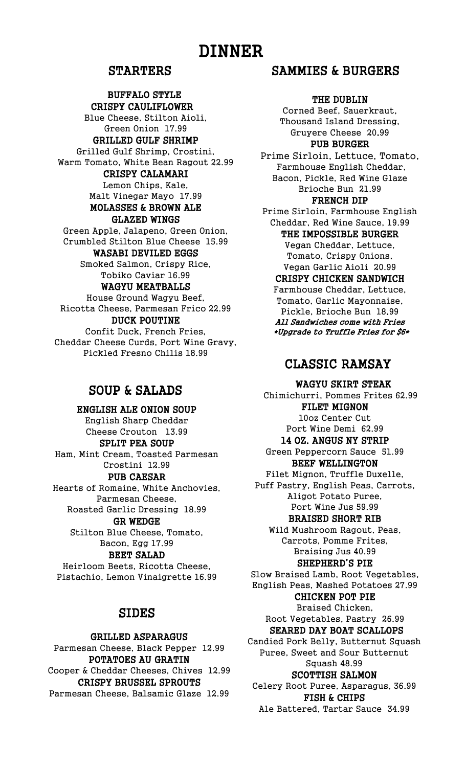# DINNER

### STARTERS

#### BUFFALO STYLE CRISPY CAULIFLOWER

Blue Cheese, Stilton Aioli, Green Onion 17.99

#### GRILLED GULF SHRIMP

Grilled Gulf Shrimp, Crostini, Warm Tomato, White Bean Ragout 22.99

#### CRISPY CALAMARI

Lemon Chips, Kale, Malt Vinegar Mayo 17.99 MOLASSES & BROWN ALE

## GLAZED WINGS

Green Apple, Jalapeno, Green Onion, Crumbled Stilton Blue Cheese 15.99

#### WASABI DEVILED EGGS

Smoked Salmon, Crispy Rice, Tobiko Caviar 16.99

#### WAGYU MEATBALLS

House Ground Wagyu Beef, Ricotta Cheese, Parmesan Frico 22.99

### DUCK POUTINE

Confit Duck, French Fries, Cheddar Cheese Curds, Port Wine Gravy, Pickled Fresno Chilis 18.99

## SOUP & SALADS

ENGLISH ALE ONION SOUP English Sharp Cheddar Cheese Crouton 13.99

SPLIT PEA SOUP Ham, Mint Cream, Toasted Parmesan Crostini 12.99

#### PUB CAESAR

Hearts of Romaine, White Anchovies, Parmesan Cheese, Roasted Garlic Dressing 18.99

GR WEDGE

Stilton Blue Cheese, Tomato, Bacon, Egg 17.99

## BEET SALAD

Heirloom Beets, Ricotta Cheese, Pistachio, Lemon Vinaigrette 16.99

## SIDES

#### GRILLED ASPARAGUS

Parmesan Cheese, Black Pepper 12.99 POTATOES AU GRATIN Cooper & Cheddar Cheeses, Chives 12.99 CRISPY BRUSSEL SPROUTS Parmesan Cheese, Balsamic Glaze 12.99

## SAMMIES & BURGERS

#### THE DUBLIN

Corned Beef, Sauerkraut, Thousand Island Dressing, Gruyere Cheese 20.99

PUB BURGER

Prime Sirloin, Lettuce, Tomato, Farmhouse English Cheddar, Bacon, Pickle, Red Wine Glaze Brioche Bun 21.99

### FRENCH DIP

Prime Sirloin, Farmhouse English Cheddar, Red Wine Sauce, 19.99 THE IMPOSSIBLE BURGER Vegan Cheddar, Lettuce, Tomato, Crispy Onions,

#### Vegan Garlic Aioli 20.99 CRISPY CHICKEN SANDWICH

Farmhouse Cheddar, Lettuce, Tomato, Garlic Mayonnaise, Pickle, Brioche Bun 18.99 All Sandwiches come with Fries \*Upgrade to Truffle Fries for \$6\*

## CLASSIC RAMSAY

WAGYU SKIRT STEAK

Chimichurri, Pommes Frites 62.99 FILET MIGNON 10oz Center Cut Port Wine Demi 62.99 14 OZ. ANGUS NY STRIP Green Peppercorn Sauce 51.99 BEEF WELLINGTON Filet Mignon, Truffle Duxelle, Puff Pastry, English Peas, Carrots, Aligot Potato Puree, Port Wine Jus 59.99 BRAISED SHORT RIB Wild Mushroom Ragout, Peas,

Carrots, Pomme Frites, Braising Jus 40.99 SHEPHERD'S PIE

Slow Braised Lamb, Root Vegetables, English Peas, Mashed Potatoes 27.99

#### CHICKEN POT PIE

Braised Chicken, Root Vegetables, Pastry 26.99

## SEARED DAY BOAT SCALLOPS

Candied Pork Belly, Butternut Squash Puree, Sweet and Sour Butternut Squash 48.99

#### SCOTTISH SALMON

Celery Root Puree, Asparagus, 36.99 FISH & CHIPS

Ale Battered, Tartar Sauce 34.99